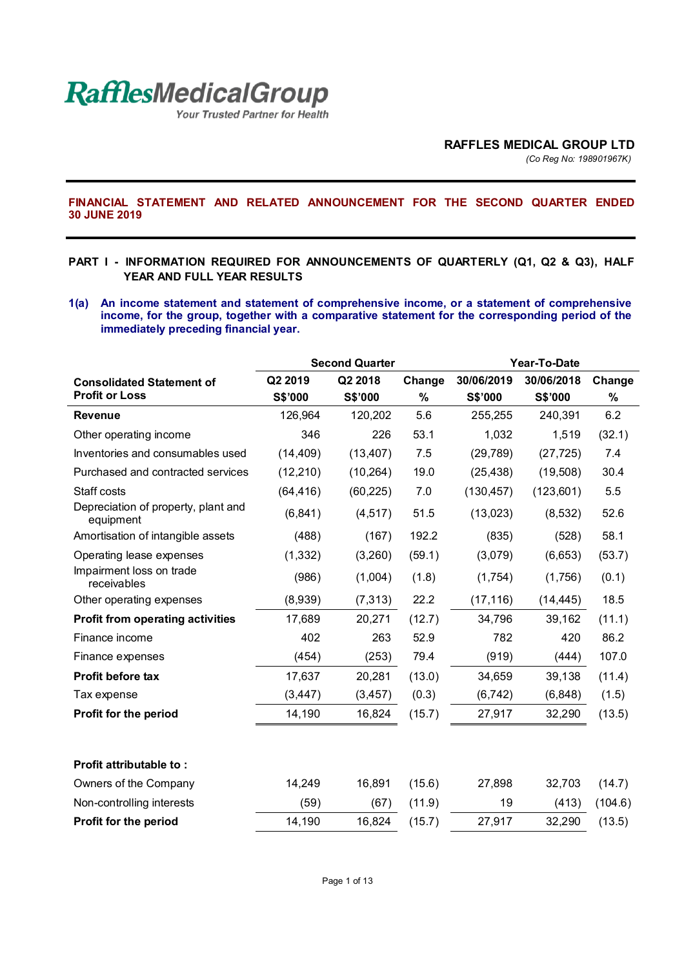

Your Trusted Partner for Health

*(Co Reg No: 198901967K)*

**FINANCIAL STATEMENT AND RELATED ANNOUNCEMENT FOR THE SECOND QUARTER ENDED 30 JUNE 2019** 

#### **PART I - INFORMATION REQUIRED FOR ANNOUNCEMENTS OF QUARTERLY (Q1, Q2 & Q3), HALF YEAR AND FULL YEAR RESULTS**

**1(a) An income statement and statement of comprehensive income, or a statement of comprehensive income, for the group, together with a comparative statement for the corresponding period of the immediately preceding financial year.** 

|                                                  | <b>Second Quarter</b> |           |        | Year-To-Date |                |         |
|--------------------------------------------------|-----------------------|-----------|--------|--------------|----------------|---------|
| <b>Consolidated Statement of</b>                 | Q2 2019               | Q2 2018   | Change | 30/06/2019   | 30/06/2018     | Change  |
| <b>Profit or Loss</b>                            | <b>S\$'000</b>        | S\$'000   | %      | S\$'000      | <b>S\$'000</b> | $\%$    |
| <b>Revenue</b>                                   | 126,964               | 120,202   | 5.6    | 255,255      | 240,391        | 6.2     |
| Other operating income                           | 346                   | 226       | 53.1   | 1,032        | 1,519          | (32.1)  |
| Inventories and consumables used                 | (14, 409)             | (13, 407) | 7.5    | (29, 789)    | (27, 725)      | 7.4     |
| Purchased and contracted services                | (12, 210)             | (10, 264) | 19.0   | (25, 438)    | (19,508)       | 30.4    |
| Staff costs                                      | (64, 416)             | (60, 225) | 7.0    | (130, 457)   | (123,601)      | 5.5     |
| Depreciation of property, plant and<br>equipment | (6, 841)              | (4, 517)  | 51.5   | (13,023)     | (8,532)        | 52.6    |
| Amortisation of intangible assets                | (488)                 | (167)     | 192.2  | (835)        | (528)          | 58.1    |
| Operating lease expenses                         | (1, 332)              | (3,260)   | (59.1) | (3,079)      | (6,653)        | (53.7)  |
| Impairment loss on trade<br>receivables          | (986)                 | (1,004)   | (1.8)  | (1,754)      | (1,756)        | (0.1)   |
| Other operating expenses                         | (8,939)               | (7, 313)  | 22.2   | (17, 116)    | (14, 445)      | 18.5    |
| <b>Profit from operating activities</b>          | 17,689                | 20,271    | (12.7) | 34,796       | 39,162         | (11.1)  |
| Finance income                                   | 402                   | 263       | 52.9   | 782          | 420            | 86.2    |
| Finance expenses                                 | (454)                 | (253)     | 79.4   | (919)        | (444)          | 107.0   |
| Profit before tax                                | 17,637                | 20,281    | (13.0) | 34,659       | 39,138         | (11.4)  |
| Tax expense                                      | (3, 447)              | (3, 457)  | (0.3)  | (6, 742)     | (6, 848)       | (1.5)   |
| Profit for the period                            | 14,190                | 16,824    | (15.7) | 27,917       | 32,290         | (13.5)  |
|                                                  |                       |           |        |              |                |         |
| <b>Profit attributable to:</b>                   |                       |           |        |              |                |         |
| Owners of the Company                            | 14,249                | 16,891    | (15.6) | 27,898       | 32,703         | (14.7)  |
| Non-controlling interests                        | (59)                  | (67)      | (11.9) | 19           | (413)          | (104.6) |
| Profit for the period                            | 14,190                | 16,824    | (15.7) | 27,917       | 32,290         | (13.5)  |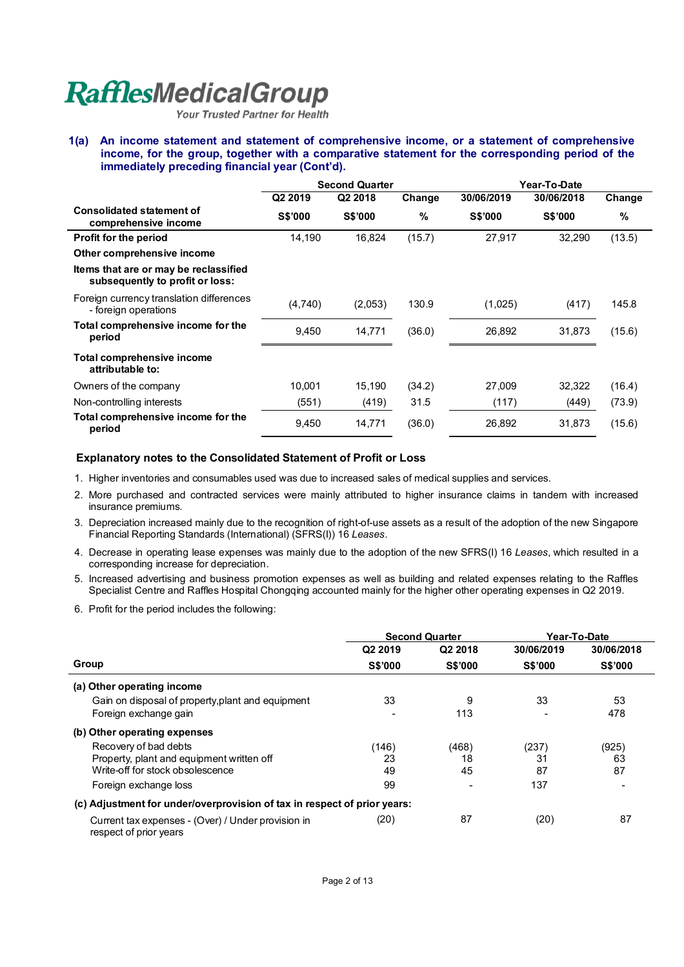Your Trusted Partner for Health

**1(a) An income statement and statement of comprehensive income, or a statement of comprehensive income, for the group, together with a comparative statement for the corresponding period of the immediately preceding financial year (Cont'd).** 

|                                                                          | <b>Second Quarter</b> |                |        | Year-To-Date   |                |        |  |
|--------------------------------------------------------------------------|-----------------------|----------------|--------|----------------|----------------|--------|--|
|                                                                          | Q2 2019               | Q2 2018        | Change | 30/06/2019     | 30/06/2018     | Change |  |
| <b>Consolidated statement of</b><br>comprehensive income                 | <b>S\$'000</b>        | <b>S\$'000</b> | %      | <b>S\$'000</b> | <b>S\$'000</b> | %      |  |
| <b>Profit for the period</b>                                             | 14,190                | 16,824         | (15.7) | 27,917         | 32,290         | (13.5) |  |
| Other comprehensive income                                               |                       |                |        |                |                |        |  |
| Items that are or may be reclassified<br>subsequently to profit or loss: |                       |                |        |                |                |        |  |
| Foreign currency translation differences<br>- foreign operations         | (4,740)               | (2,053)        | 130.9  | (1,025)        | (417)          | 145.8  |  |
| Total comprehensive income for the<br>period                             | 9,450                 | 14,771         | (36.0) | 26,892         | 31,873         | (15.6) |  |
| Total comprehensive income<br>attributable to:                           |                       |                |        |                |                |        |  |
| Owners of the company                                                    | 10.001                | 15,190         | (34.2) | 27,009         | 32,322         | (16.4) |  |
| Non-controlling interests                                                | (551)                 | (419)          | 31.5   | (117)          | (449)          | (73.9) |  |
| Total comprehensive income for the<br>period                             | 9,450                 | 14,771         | (36.0) | 26,892         | 31,873         | (15.6) |  |

#### **Explanatory notes to the Consolidated Statement of Profit or Loss**

- 1. Higher inventories and consumables used was due to increased sales of medical supplies and services.
- 2. More purchased and contracted services were mainly attributed to higher insurance claims in tandem with increased insurance premiums.
- 3. Depreciation increased mainly due to the recognition of right-of-use assets as a result of the adoption of the new Singapore Financial Reporting Standards (International) (SFRS(I)) 16 *Leases*.
- 4. Decrease in operating lease expenses was mainly due to the adoption of the new SFRS(I) 16 *Leases*, which resulted in a corresponding increase for depreciation.
- 5. Increased advertising and business promotion expenses as well as building and related expenses relating to the Raffles Specialist Centre and Raffles Hospital Chongqing accounted mainly for the higher other operating expenses in Q2 2019.
- 6. Profit for the period includes the following:

|                                                                              | <b>Second Quarter</b> |                | Year-To-Date   |                |  |
|------------------------------------------------------------------------------|-----------------------|----------------|----------------|----------------|--|
|                                                                              | Q2 2019               | Q2 2018        | 30/06/2019     | 30/06/2018     |  |
| Group                                                                        | <b>S\$'000</b>        | <b>S\$'000</b> | <b>S\$'000</b> | <b>S\$'000</b> |  |
| (a) Other operating income                                                   |                       |                |                |                |  |
| Gain on disposal of property, plant and equipment                            | 33                    | 9              | 33             | 53             |  |
| Foreign exchange gain                                                        |                       | 113            |                | 478            |  |
| (b) Other operating expenses                                                 |                       |                |                |                |  |
| Recovery of bad debts                                                        | (146)                 | (468)          | (237)          | (925)          |  |
| Property, plant and equipment written off                                    | 23                    | 18             | 31             | 63             |  |
| Write-off for stock obsolescence                                             | 49                    | 45             | 87             | 87             |  |
| Foreign exchange loss                                                        | 99                    |                | 137            |                |  |
| (c) Adjustment for under/overprovision of tax in respect of prior years:     |                       |                |                |                |  |
| Current tax expenses - (Over) / Under provision in<br>respect of prior years | (20)                  | 87             | (20)           | 87             |  |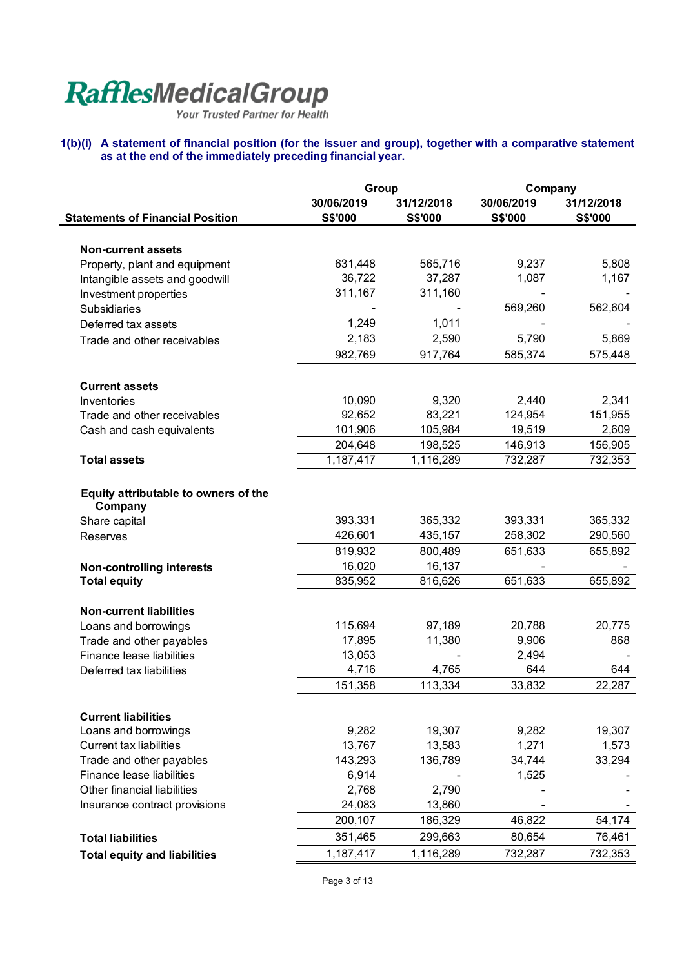#### **1(b)(i) A statement of financial position (for the issuer and group), together with a comparative statement as at the end of the immediately preceding financial year.**

|                                                         | Group          |            | Company    |                |  |
|---------------------------------------------------------|----------------|------------|------------|----------------|--|
|                                                         | 30/06/2019     | 31/12/2018 | 30/06/2019 | 31/12/2018     |  |
| <b>Statements of Financial Position</b>                 | <b>S\$'000</b> | S\$'000    | S\$'000    | <b>S\$'000</b> |  |
|                                                         |                |            |            |                |  |
| <b>Non-current assets</b>                               |                |            |            |                |  |
| Property, plant and equipment                           | 631,448        | 565,716    | 9,237      | 5,808          |  |
| Intangible assets and goodwill                          | 36,722         | 37,287     | 1,087      | 1,167          |  |
| Investment properties                                   | 311,167        | 311,160    |            |                |  |
| <b>Subsidiaries</b>                                     |                |            | 569,260    | 562,604        |  |
| Deferred tax assets                                     | 1,249          | 1,011      |            |                |  |
| Trade and other receivables                             | 2,183          | 2,590      | 5,790      | 5,869          |  |
|                                                         | 982,769        | 917,764    | 585,374    | 575,448        |  |
| <b>Current assets</b>                                   |                |            |            |                |  |
| Inventories                                             | 10,090         | 9,320      | 2,440      | 2,341          |  |
| Trade and other receivables                             | 92,652         | 83,221     | 124,954    | 151,955        |  |
| Cash and cash equivalents                               | 101,906        | 105,984    | 19,519     | 2,609          |  |
|                                                         | 204,648        | 198,525    | 146,913    | 156,905        |  |
| <b>Total assets</b>                                     | 1,187,417      | 1,116,289  | 732,287    | 732,353        |  |
|                                                         |                |            |            |                |  |
| Equity attributable to owners of the                    |                |            |            |                |  |
| Company                                                 | 393,331        | 365,332    | 393,331    | 365,332        |  |
| Share capital                                           | 426,601        | 435,157    | 258,302    | 290,560        |  |
| <b>Reserves</b>                                         | 819,932        | 800,489    | 651,633    | 655,892        |  |
|                                                         | 16,020         | 16,137     |            |                |  |
| <b>Non-controlling interests</b><br><b>Total equity</b> | 835,952        | 816,626    | 651,633    | 655,892        |  |
|                                                         |                |            |            |                |  |
| <b>Non-current liabilities</b>                          |                |            |            |                |  |
| Loans and borrowings                                    | 115,694        | 97,189     | 20,788     | 20,775         |  |
| Trade and other payables                                | 17,895         | 11,380     | 9,906      | 868            |  |
| Finance lease liabilities                               | 13,053         |            | 2,494      |                |  |
| Deferred tax liabilities                                | 4,716          | 4,765      | 644        | 644            |  |
|                                                         | 151,358        | 113,334    | 33,832     | 22,287         |  |
| <b>Current liabilities</b>                              |                |            |            |                |  |
| Loans and borrowings                                    | 9,282          | 19,307     | 9,282      | 19,307         |  |
| <b>Current tax liabilities</b>                          | 13,767         | 13,583     | 1,271      | 1,573          |  |
| Trade and other payables                                | 143,293        | 136,789    | 34,744     | 33,294         |  |
| Finance lease liabilities                               | 6,914          |            | 1,525      |                |  |
| Other financial liabilities                             | 2,768          | 2,790      |            |                |  |
| Insurance contract provisions                           | 24,083         | 13,860     |            |                |  |
|                                                         | 200,107        | 186,329    | 46,822     | 54,174         |  |
| <b>Total liabilities</b>                                | 351,465        | 299,663    | 80,654     | 76,461         |  |
| <b>Total equity and liabilities</b>                     | 1, 187, 417    | 1,116,289  | 732,287    | 732,353        |  |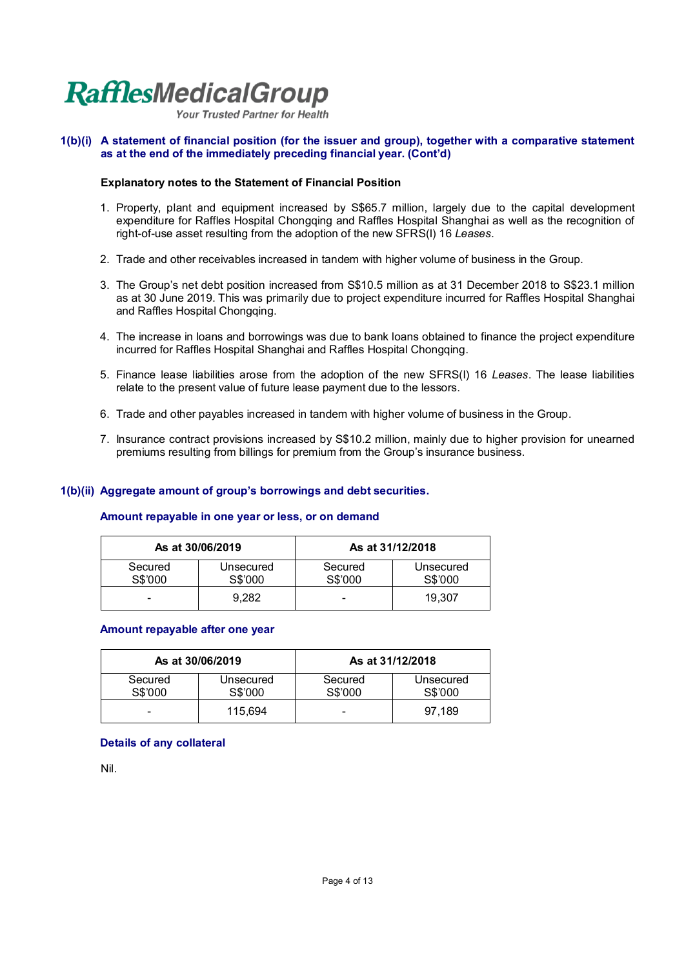Your Trusted Partner for Health

#### **1(b)(i) A statement of financial position (for the issuer and group), together with a comparative statement as at the end of the immediately preceding financial year. (Cont'd)**

#### **Explanatory notes to the Statement of Financial Position**

- 1. Property, plant and equipment increased by S\$65.7 million, largely due to the capital development expenditure for Raffles Hospital Chongqing and Raffles Hospital Shanghai as well as the recognition of right-of-use asset resulting from the adoption of the new SFRS(I) 16 *Leases*.
- 2. Trade and other receivables increased in tandem with higher volume of business in the Group.
- 3. The Group's net debt position increased from S\$10.5 million as at 31 December 2018 to S\$23.1 million as at 30 June 2019. This was primarily due to project expenditure incurred for Raffles Hospital Shanghai and Raffles Hospital Chongqing.
- 4. The increase in loans and borrowings was due to bank loans obtained to finance the project expenditure incurred for Raffles Hospital Shanghai and Raffles Hospital Chongqing.
- 5. Finance lease liabilities arose from the adoption of the new SFRS(I) 16 *Leases*. The lease liabilities relate to the present value of future lease payment due to the lessors.
- 6. Trade and other payables increased in tandem with higher volume of business in the Group.
- 7. Insurance contract provisions increased by S\$10.2 million, mainly due to higher provision for unearned premiums resulting from billings for premium from the Group's insurance business.

#### **1(b)(ii) Aggregate amount of group's borrowings and debt securities.**

#### **Amount repayable in one year or less, or on demand**

|                    | As at 30/06/2019     | As at 31/12/2018   |                      |
|--------------------|----------------------|--------------------|----------------------|
| Secured<br>S\$'000 | Unsecured<br>S\$'000 | Secured<br>S\$'000 | Unsecured<br>S\$'000 |
| -                  | 9.282                | -                  | 19.307               |

#### **Amount repayable after one year**

| As at 30/06/2019   |                      | As at 31/12/2018   |                      |
|--------------------|----------------------|--------------------|----------------------|
| Secured<br>S\$'000 | Unsecured<br>S\$'000 | Secured<br>S\$'000 | Unsecured<br>S\$'000 |
| -                  | 115.694              | -                  | 97.189               |

#### **Details of any collateral**

Nil.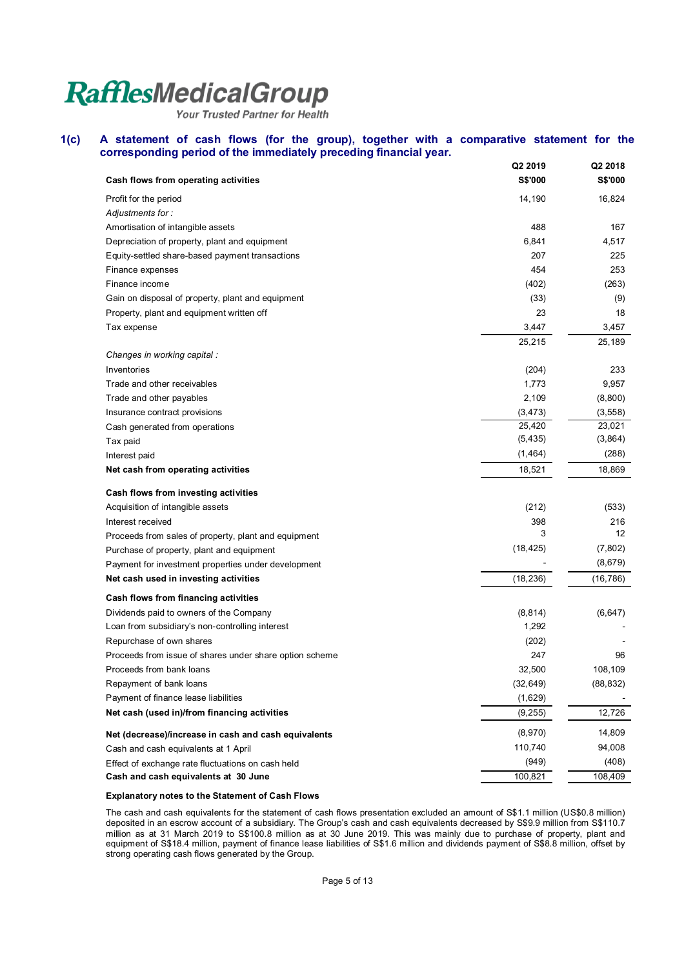Your Trusted Partner for Health

#### **1(c) A statement of cash flows (for the group), together with a comparative statement for the corresponding period of the immediately preceding financial year.**

|                                                         | Q2 2019        | Q2 2018        |
|---------------------------------------------------------|----------------|----------------|
| Cash flows from operating activities                    | <b>S\$'000</b> | <b>S\$'000</b> |
| Profit for the period                                   | 14,190         | 16,824         |
| Adjustments for:                                        |                |                |
| Amortisation of intangible assets                       | 488            | 167            |
| Depreciation of property, plant and equipment           | 6,841          | 4,517          |
| Equity-settled share-based payment transactions         | 207            | 225            |
| Finance expenses                                        | 454            | 253            |
| Finance income                                          | (402)          | (263)          |
| Gain on disposal of property, plant and equipment       | (33)           | (9)            |
| Property, plant and equipment written off               | 23             | 18             |
| Tax expense                                             | 3,447          | 3,457          |
|                                                         | 25,215         | 25,189         |
| Changes in working capital :                            |                |                |
| Inventories                                             | (204)          | 233            |
| Trade and other receivables                             | 1,773          | 9,957          |
| Trade and other payables                                | 2,109          | (8,800)        |
| Insurance contract provisions                           | (3, 473)       | (3,558)        |
| Cash generated from operations                          | 25,420         | 23,021         |
| Tax paid                                                | (5, 435)       | (3,864)        |
| Interest paid                                           | (1, 464)       | (288)          |
| Net cash from operating activities                      | 18,521         | 18,869         |
| Cash flows from investing activities                    |                |                |
| Acquisition of intangible assets                        | (212)          | (533)          |
| Interest received                                       | 398            | 216            |
| Proceeds from sales of property, plant and equipment    | 3              | 12             |
| Purchase of property, plant and equipment               | (18, 425)      | (7,802)        |
| Payment for investment properties under development     |                | (8,679)        |
| Net cash used in investing activities                   | (18, 236)      | (16, 786)      |
| Cash flows from financing activities                    |                |                |
| Dividends paid to owners of the Company                 | (8, 814)       | (6, 647)       |
| Loan from subsidiary's non-controlling interest         | 1,292          |                |
| Repurchase of own shares                                | (202)          |                |
| Proceeds from issue of shares under share option scheme | 247            | 96             |
| Proceeds from bank loans                                | 32,500         | 108,109        |
| Repayment of bank loans                                 | (32, 649)      | (88, 832)      |
| Payment of finance lease liabilities                    | (1,629)        |                |
| Net cash (used in)/from financing activities            | (9,255)        | 12,726         |
| Net (decrease)/increase in cash and cash equivalents    | (8,970)        | 14,809         |
| Cash and cash equivalents at 1 April                    | 110,740        | 94,008         |
| Effect of exchange rate fluctuations on cash held       | (949)          | (408)          |
| Cash and cash equivalents at 30 June                    | 100,821        | 108,409        |

#### **Explanatory notes to the Statement of Cash Flows**

The cash and cash equivalents for the statement of cash flows presentation excluded an amount of S\$1.1 million (US\$0.8 million) deposited in an escrow account of a subsidiary. The Group's cash and cash equivalents decreased by S\$9.9 million from S\$110.7 million as at 31 March 2019 to S\$100.8 million as at 30 June 2019. This was mainly due to purchase of property, plant and equipment of S\$18.4 million, payment of finance lease liabilities of S\$1.6 million and dividends payment of S\$8.8 million, offset by strong operating cash flows generated by the Group.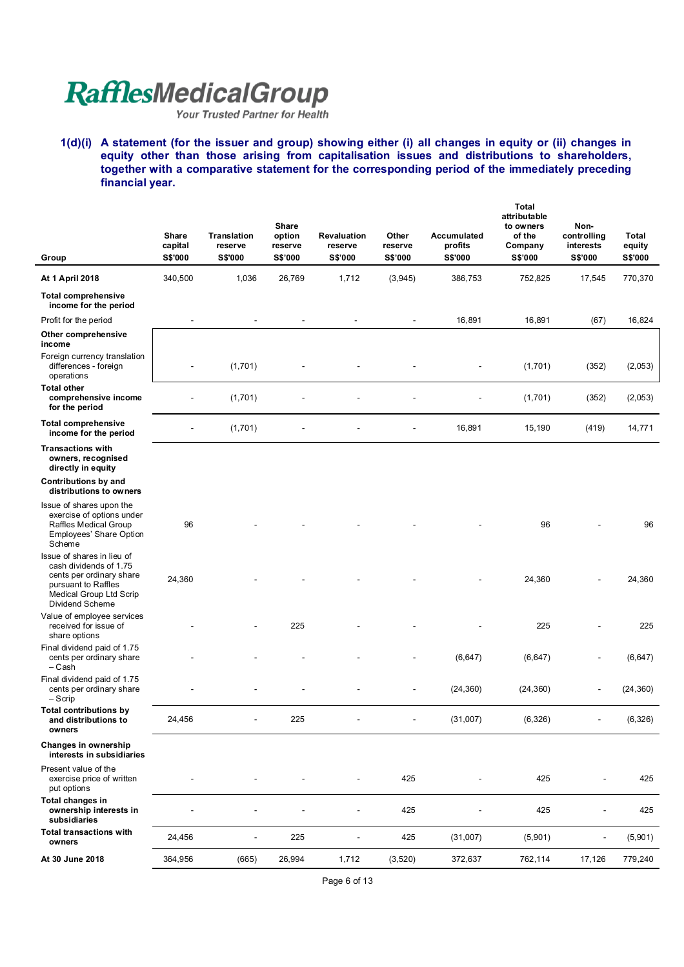**1(d)(i) A statement (for the issuer and group) showing either (i) all changes in equity or (ii) changes in equity other than those arising from capitalisation issues and distributions to shareholders, together with a comparative statement for the corresponding period of the immediately preceding financial year.** 

| Group                                                                                                                                                 | Share<br>capital<br>S\$'000 | <b>Translation</b><br>reserve<br><b>S\$'000</b> | Share<br>option<br>reserve<br>S\$'000 | Revaluation<br>reserve<br>S\$'000 | Other<br>reserve<br>S\$'000 | <b>Accumulated</b><br>profits<br>S\$'000 | Total<br>attributable<br>to owners<br>of the<br>Company<br>S\$'000 | Non-<br>controlling<br>interests<br>S\$'000 | Total<br>equity<br><b>S\$'000</b> |
|-------------------------------------------------------------------------------------------------------------------------------------------------------|-----------------------------|-------------------------------------------------|---------------------------------------|-----------------------------------|-----------------------------|------------------------------------------|--------------------------------------------------------------------|---------------------------------------------|-----------------------------------|
| At 1 April 2018                                                                                                                                       | 340,500                     | 1,036                                           | 26,769                                | 1,712                             | (3,945)                     | 386,753                                  | 752,825                                                            | 17,545                                      | 770,370                           |
| <b>Total comprehensive</b><br>income for the period                                                                                                   |                             |                                                 |                                       |                                   |                             |                                          |                                                                    |                                             |                                   |
| Profit for the period                                                                                                                                 | $\blacksquare$              | $\blacksquare$                                  |                                       | $\blacksquare$                    | $\blacksquare$              | 16,891                                   | 16,891                                                             | (67)                                        | 16,824                            |
| Other comprehensive<br>income                                                                                                                         |                             |                                                 |                                       |                                   |                             |                                          |                                                                    |                                             |                                   |
| Foreign currency translation<br>differences - foreign<br>operations                                                                                   |                             | (1,701)                                         |                                       |                                   |                             |                                          | (1,701)                                                            | (352)                                       | (2,053)                           |
| <b>Total other</b><br>comprehensive income<br>for the period                                                                                          |                             | (1,701)                                         |                                       |                                   |                             |                                          | (1,701)                                                            | (352)                                       | (2,053)                           |
| <b>Total comprehensive</b><br>income for the period                                                                                                   |                             | (1,701)                                         |                                       |                                   |                             | 16,891                                   | 15,190                                                             | (419)                                       | 14,771                            |
| <b>Transactions with</b><br>owners, recognised<br>directly in equity                                                                                  |                             |                                                 |                                       |                                   |                             |                                          |                                                                    |                                             |                                   |
| Contributions by and<br>distributions to owners                                                                                                       |                             |                                                 |                                       |                                   |                             |                                          |                                                                    |                                             |                                   |
| Issue of shares upon the<br>exercise of options under<br>Raffles Medical Group<br><b>Employees' Share Option</b><br>Scheme                            | 96                          |                                                 |                                       |                                   |                             |                                          | 96                                                                 |                                             | 96                                |
| Issue of shares in lieu of<br>cash dividends of 1.75<br>cents per ordinary share<br>pursuant to Raffles<br>Medical Group Ltd Scrip<br>Dividend Scheme | 24,360                      |                                                 |                                       |                                   |                             |                                          | 24,360                                                             |                                             | 24,360                            |
| Value of employee services<br>received for issue of<br>share options                                                                                  |                             |                                                 | 225                                   |                                   |                             |                                          | 225                                                                |                                             | 225                               |
| Final dividend paid of 1.75<br>cents per ordinary share<br>- Cash                                                                                     |                             |                                                 |                                       |                                   |                             | (6, 647)                                 | (6, 647)                                                           |                                             | (6, 647)                          |
| Final dividend paid of 1.75<br>cents per ordinary share<br>$-$ Scrip                                                                                  |                             |                                                 |                                       |                                   |                             | (24, 360)                                | (24, 360)                                                          |                                             | (24, 360)                         |
| <b>Total contributions by</b><br>and distributions to<br>owners                                                                                       | 24,456                      |                                                 | 225                                   |                                   | $\overline{\phantom{a}}$    | (31,007)                                 | (6, 326)                                                           |                                             | (6,326)                           |
| Changes in ownership<br>interests in subsidiaries                                                                                                     |                             |                                                 |                                       |                                   |                             |                                          |                                                                    |                                             |                                   |
| Present value of the<br>exercise price of written<br>put options                                                                                      |                             |                                                 |                                       |                                   | 425                         |                                          | 425                                                                |                                             | 425                               |
| Total changes in<br>ownership interests in<br>subsidiaries                                                                                            |                             |                                                 |                                       |                                   | 425                         |                                          | 425                                                                |                                             | 425                               |
| <b>Total transactions with</b><br>owners                                                                                                              | 24,456                      |                                                 | 225                                   |                                   | 425                         | (31,007)                                 | (5,901)                                                            |                                             | (5,901)                           |
| At 30 June 2018                                                                                                                                       | 364,956                     | (665)                                           | 26,994                                | 1,712                             | (3,520)                     | 372,637                                  | 762,114                                                            | 17,126                                      | 779,240                           |

Page 6 of 13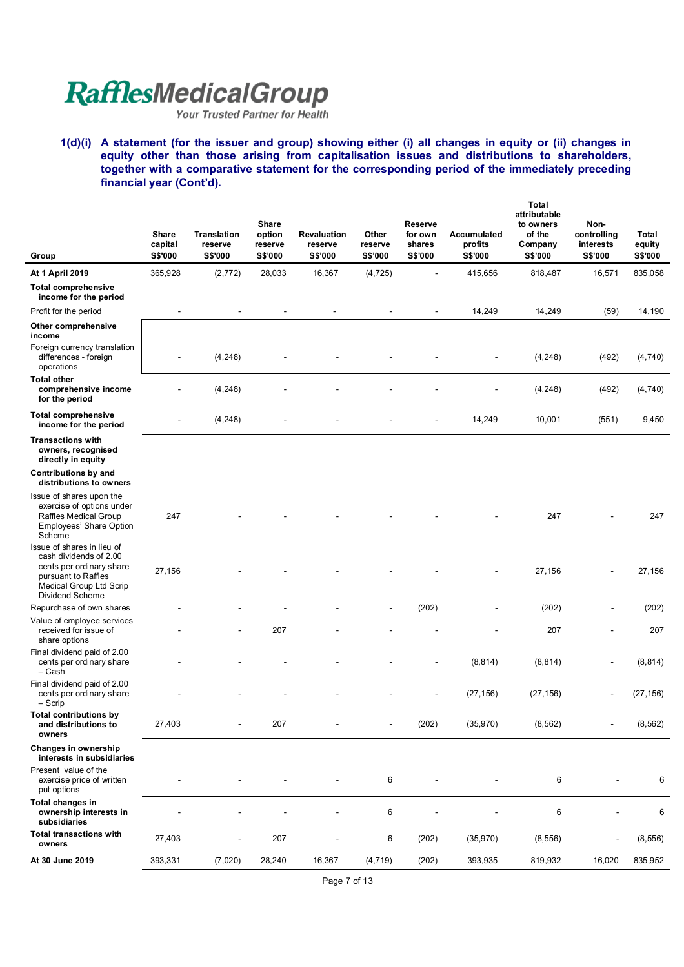**1(d)(i) A statement (for the issuer and group) showing either (i) all changes in equity or (ii) changes in equity other than those arising from capitalisation issues and distributions to shareholders, together with a comparative statement for the corresponding period of the immediately preceding financial year (Cont'd).** 

| Group                                                                                                                                                        | Share<br>capital<br><b>S\$'000</b> | <b>Translation</b><br>reserve<br>S\$'000 | <b>Share</b><br>option<br>reserve<br>S\$'000 | Revaluation<br>reserve<br><b>S\$'000</b> | Other<br>reserve<br>S\$'000 | <b>Reserve</b><br>for own<br>shares<br>S\$'000 | Accumulated<br>profits<br><b>S\$'000</b> | Total<br>attributable<br>to owners<br>of the<br>Company<br>S\$'000 | Non-<br>controlling<br>interests<br>S\$'000 | Total<br>equity<br><b>S\$'000</b> |
|--------------------------------------------------------------------------------------------------------------------------------------------------------------|------------------------------------|------------------------------------------|----------------------------------------------|------------------------------------------|-----------------------------|------------------------------------------------|------------------------------------------|--------------------------------------------------------------------|---------------------------------------------|-----------------------------------|
| At 1 April 2019                                                                                                                                              | 365,928                            | (2, 772)                                 | 28,033                                       | 16,367                                   | (4, 725)                    |                                                | 415,656                                  | 818,487                                                            | 16,571                                      | 835,058                           |
| <b>Total comprehensive</b><br>income for the period                                                                                                          |                                    |                                          |                                              |                                          |                             |                                                |                                          |                                                                    |                                             |                                   |
| Profit for the period                                                                                                                                        |                                    |                                          |                                              |                                          |                             | $\blacksquare$                                 | 14,249                                   | 14,249                                                             | (59)                                        | 14,190                            |
| Other comprehensive<br>income                                                                                                                                |                                    |                                          |                                              |                                          |                             |                                                |                                          |                                                                    |                                             |                                   |
| Foreign currency translation<br>differences - foreign<br>operations                                                                                          |                                    | (4, 248)                                 |                                              |                                          |                             |                                                |                                          | (4, 248)                                                           | (492)                                       | (4,740)                           |
| <b>Total other</b><br>comprehensive income<br>for the period                                                                                                 |                                    | (4, 248)                                 |                                              |                                          |                             |                                                |                                          | (4, 248)                                                           | (492)                                       | (4,740)                           |
| <b>Total comprehensive</b><br>income for the period                                                                                                          |                                    | (4, 248)                                 |                                              |                                          |                             |                                                | 14,249                                   | 10,001                                                             | (551)                                       | 9,450                             |
| <b>Transactions with</b><br>owners, recognised<br>directly in equity                                                                                         |                                    |                                          |                                              |                                          |                             |                                                |                                          |                                                                    |                                             |                                   |
| Contributions by and<br>distributions to owners                                                                                                              |                                    |                                          |                                              |                                          |                             |                                                |                                          |                                                                    |                                             |                                   |
| Issue of shares upon the<br>exercise of options under<br>Raffles Medical Group<br>Employees' Share Option<br>Scheme                                          | 247                                |                                          |                                              |                                          |                             |                                                |                                          | 247                                                                |                                             | 247                               |
| Issue of shares in lieu of<br>cash dividends of 2.00<br>cents per ordinary share<br>pursuant to Raffles<br>Medical Group Ltd Scrip<br><b>Dividend Scheme</b> | 27,156                             |                                          |                                              |                                          |                             |                                                |                                          | 27,156                                                             |                                             | 27,156                            |
| Repurchase of own shares                                                                                                                                     |                                    |                                          |                                              |                                          |                             | (202)                                          |                                          | (202)                                                              |                                             | (202)                             |
| Value of employee services<br>received for issue of<br>share options                                                                                         |                                    |                                          | 207                                          |                                          |                             |                                                |                                          | 207                                                                |                                             | 207                               |
| Final dividend paid of 2.00<br>cents per ordinary share<br>– Cash                                                                                            |                                    |                                          |                                              |                                          |                             |                                                | (8, 814)                                 | (8, 814)                                                           |                                             | (8, 814)                          |
| Final dividend paid of 2.00<br>cents per ordinary share<br>$-$ Scrip                                                                                         |                                    |                                          |                                              |                                          |                             |                                                | (27, 156)                                | (27, 156)                                                          |                                             | (27, 156)                         |
| <b>Total contributions by</b><br>and distributions to<br>owners                                                                                              | 27,403                             |                                          | 207                                          |                                          | $\blacksquare$              | (202)                                          | (35,970)                                 | (8, 562)                                                           |                                             | (8, 562)                          |
| Changes in ownership<br>interests in subsidiaries                                                                                                            |                                    |                                          |                                              |                                          |                             |                                                |                                          |                                                                    |                                             |                                   |
| Present value of the<br>exercise price of written<br>put options                                                                                             |                                    |                                          |                                              |                                          | 6                           |                                                |                                          | 6                                                                  |                                             | 6                                 |
| Total changes in<br>ownership interests in<br>subsidiaries                                                                                                   |                                    |                                          |                                              |                                          | 6                           |                                                |                                          | 6                                                                  |                                             | 6                                 |
| <b>Total transactions with</b><br>owners                                                                                                                     | 27,403                             |                                          | 207                                          |                                          | 6                           | (202)                                          | (35,970)                                 | (8, 556)                                                           |                                             | (8, 556)                          |
| At 30 June 2019                                                                                                                                              | 393,331                            | (7,020)                                  | 28,240                                       | 16,367                                   | (4, 719)                    | (202)                                          | 393,935                                  | 819,932                                                            | 16,020                                      | 835,952                           |

Page 7 of 13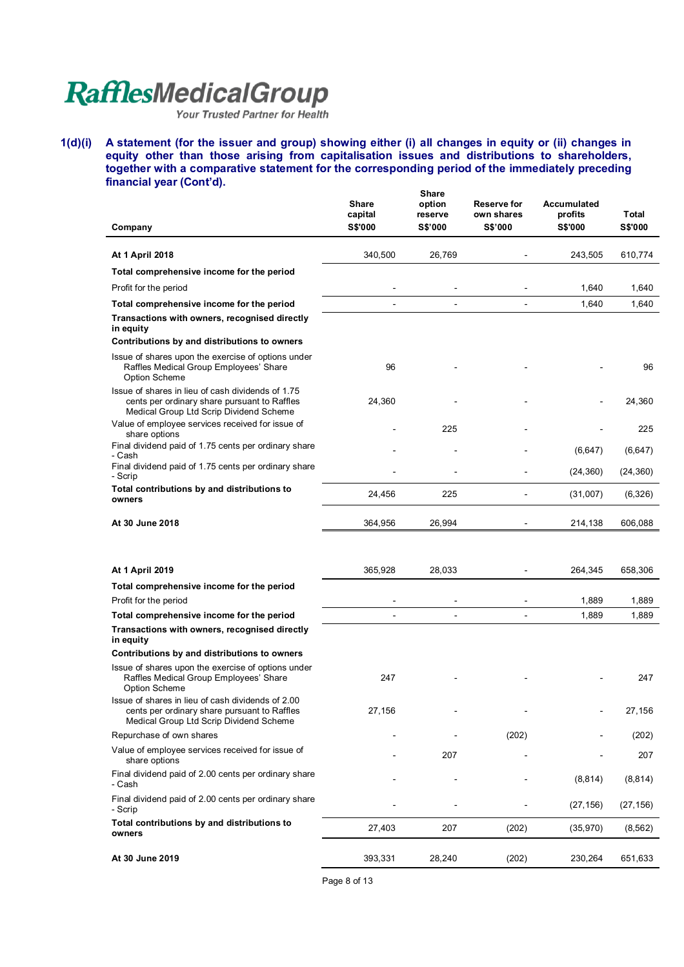**1(d)(i) A statement (for the issuer and group) showing either (i) all changes in equity or (ii) changes in equity other than those arising from capitalisation issues and distributions to shareholders, together with a comparative statement for the corresponding period of the immediately preceding financial year (Cont'd).**   $\overline{\phantom{a}}$ 

| Company                                                                                                                                      | <b>Share</b><br>capital<br><b>S\$'000</b> | <b>Share</b><br>option<br>reserve<br><b>S\$'000</b> | <b>Reserve for</b><br>own shares<br>S\$'000 | Accumulated<br>profits<br><b>S\$'000</b> | <b>Total</b><br><b>S\$'000</b> |
|----------------------------------------------------------------------------------------------------------------------------------------------|-------------------------------------------|-----------------------------------------------------|---------------------------------------------|------------------------------------------|--------------------------------|
|                                                                                                                                              |                                           |                                                     |                                             |                                          |                                |
| <b>At 1 April 2018</b>                                                                                                                       | 340,500                                   | 26,769                                              |                                             | 243,505                                  | 610,774                        |
| Total comprehensive income for the period                                                                                                    |                                           |                                                     |                                             |                                          |                                |
| Profit for the period                                                                                                                        |                                           |                                                     |                                             | 1,640                                    | 1,640                          |
| Total comprehensive income for the period                                                                                                    |                                           |                                                     |                                             | 1,640                                    | 1,640                          |
| Transactions with owners, recognised directly<br>in equity                                                                                   |                                           |                                                     |                                             |                                          |                                |
| Contributions by and distributions to owners                                                                                                 |                                           |                                                     |                                             |                                          |                                |
| Issue of shares upon the exercise of options under<br>Raffles Medical Group Employees' Share<br><b>Option Scheme</b>                         | 96                                        |                                                     |                                             |                                          | 96                             |
| Issue of shares in lieu of cash dividends of 1.75<br>cents per ordinary share pursuant to Raffles<br>Medical Group Ltd Scrip Dividend Scheme | 24,360                                    |                                                     |                                             |                                          | 24,360                         |
| Value of employee services received for issue of<br>share options                                                                            |                                           | 225                                                 |                                             |                                          | 225                            |
| Final dividend paid of 1.75 cents per ordinary share<br>- Cash                                                                               |                                           |                                                     |                                             | (6,647)                                  | (6, 647)                       |
| Final dividend paid of 1.75 cents per ordinary share<br>- Scrip                                                                              |                                           |                                                     |                                             | (24, 360)                                | (24, 360)                      |
| Total contributions by and distributions to<br>owners                                                                                        | 24,456                                    | 225                                                 |                                             | (31,007)                                 | (6,326)                        |
| At 30 June 2018                                                                                                                              | 364,956                                   | 26,994                                              |                                             | 214,138                                  | 606,088                        |
|                                                                                                                                              |                                           |                                                     |                                             |                                          |                                |
| <b>At 1 April 2019</b>                                                                                                                       | 365,928                                   | 28,033                                              |                                             | 264,345                                  | 658,306                        |
| Total comprehensive income for the period                                                                                                    |                                           |                                                     |                                             |                                          |                                |
| Profit for the period                                                                                                                        |                                           |                                                     |                                             | 1,889                                    | 1,889                          |
| Total comprehensive income for the period<br>Transactions with owners, recognised directly                                                   |                                           |                                                     |                                             | 1,889                                    | 1,889                          |
| in equity                                                                                                                                    |                                           |                                                     |                                             |                                          |                                |
| Contributions by and distributions to owners                                                                                                 |                                           |                                                     |                                             |                                          |                                |
| Issue of shares upon the exercise of options under<br>Raffles Medical Group Employees' Share<br><b>Option Scheme</b>                         | 247                                       |                                                     |                                             |                                          | 247                            |
| Issue of shares in lieu of cash dividends of 2.00<br>cents per ordinary share pursuant to Raffles<br>Medical Group Ltd Scrip Dividend Scheme | 27,156                                    |                                                     |                                             |                                          | 27,156                         |
| Repurchase of own shares                                                                                                                     |                                           |                                                     | (202)                                       |                                          | (202)                          |
| Value of employee services received for issue of<br>share options                                                                            |                                           | 207                                                 |                                             |                                          | 207                            |
| Final dividend paid of 2.00 cents per ordinary share<br>- Cash                                                                               |                                           |                                                     |                                             | (8, 814)                                 | (8, 814)                       |
| Final dividend paid of 2.00 cents per ordinary share<br>- Scrip                                                                              |                                           |                                                     |                                             | (27, 156)                                | (27, 156)                      |
| Total contributions by and distributions to<br>owners                                                                                        | 27,403                                    | 207                                                 | (202)                                       | (35, 970)                                | (8, 562)                       |
| At 30 June 2019                                                                                                                              | 393,331                                   | 28,240                                              | (202)                                       | 230,264                                  | 651,633                        |

Page 8 of 13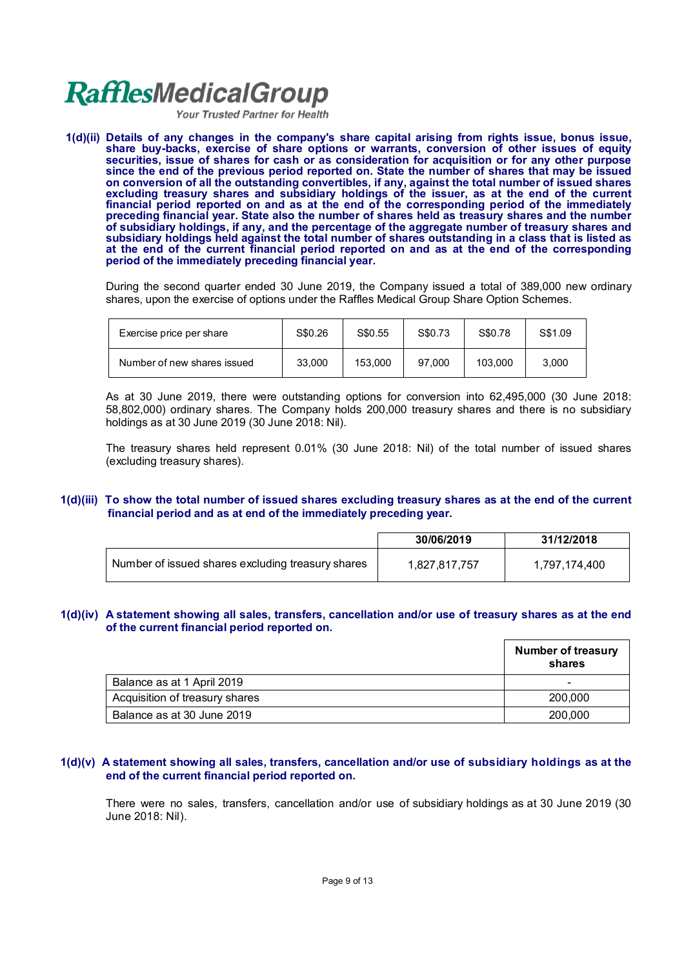Your Trusted Partner for Health

**1(d)(ii) Details of any changes in the company's share capital arising from rights issue, bonus issue, share buy-backs, exercise of share options or warrants, conversion of other issues of equity securities, issue of shares for cash or as consideration for acquisition or for any other purpose since the end of the previous period reported on. State the number of shares that may be issued on conversion of all the outstanding convertibles, if any, against the total number of issued shares excluding treasury shares and subsidiary holdings of the issuer, as at the end of the current financial period reported on and as at the end of the corresponding period of the immediately preceding financial year. State also the number of shares held as treasury shares and the number of subsidiary holdings, if any, and the percentage of the aggregate number of treasury shares and subsidiary holdings held against the total number of shares outstanding in a class that is listed as at the end of the current financial period reported on and as at the end of the corresponding period of the immediately preceding financial year.**

During the second quarter ended 30 June 2019, the Company issued a total of 389,000 new ordinary shares, upon the exercise of options under the Raffles Medical Group Share Option Schemes.

| Exercise price per share    | S\$0.26 | S\$0.55 | S\$0.73 | S\$0.78 | S\$1.09 |
|-----------------------------|---------|---------|---------|---------|---------|
| Number of new shares issued | 33,000  | 153.000 | 97.000  | 103.000 | 3.000   |

As at 30 June 2019, there were outstanding options for conversion into 62,495,000 (30 June 2018: 58,802,000) ordinary shares. The Company holds 200,000 treasury shares and there is no subsidiary holdings as at 30 June 2019 (30 June 2018: Nil).

The treasury shares held represent 0.01% (30 June 2018: Nil) of the total number of issued shares (excluding treasury shares).

#### **1(d)(iii) To show the total number of issued shares excluding treasury shares as at the end of the current financial period and as at end of the immediately preceding year.**

|                                                   | 30/06/2019    | 31/12/2018    |
|---------------------------------------------------|---------------|---------------|
| Number of issued shares excluding treasury shares | 1,827,817,757 | 1,797,174,400 |

#### **1(d)(iv) A statement showing all sales, transfers, cancellation and/or use of treasury shares as at the end of the current financial period reported on.**

|                                | <b>Number of treasury</b><br>shares |
|--------------------------------|-------------------------------------|
| Balance as at 1 April 2019     | -                                   |
| Acquisition of treasury shares | 200,000                             |
| Balance as at 30 June 2019     | 200,000                             |

#### **1(d)(v) A statement showing all sales, transfers, cancellation and/or use of subsidiary holdings as at the end of the current financial period reported on.**

There were no sales, transfers, cancellation and/or use of subsidiary holdings as at 30 June 2019 (30 June 2018: Nil).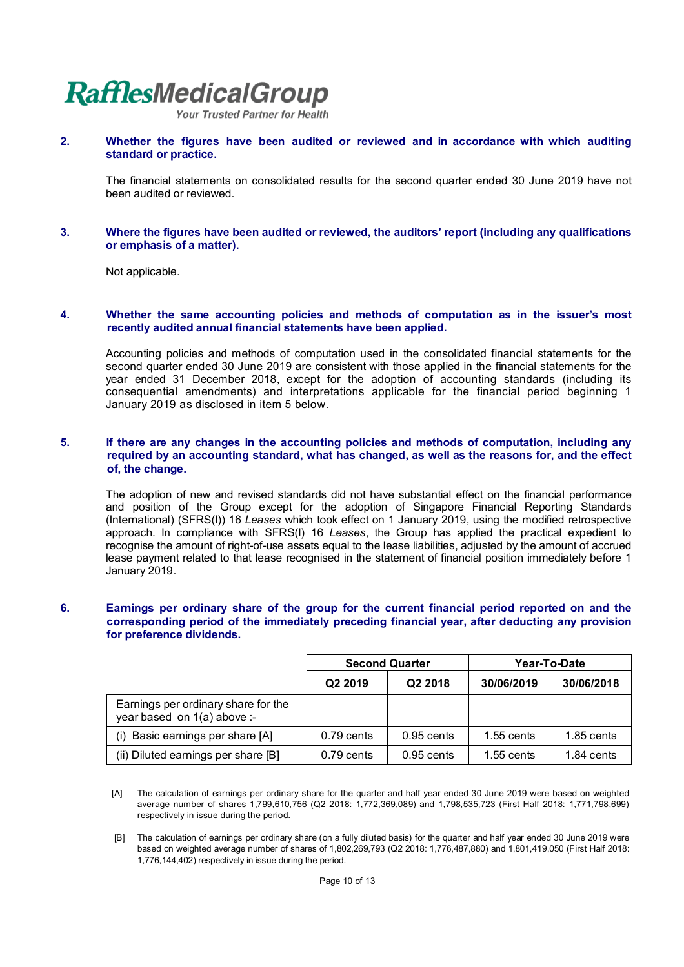**Your Trusted Partner for Health** 

**2. Whether the figures have been audited or reviewed and in accordance with which auditing standard or practice.**

The financial statements on consolidated results for the second quarter ended 30 June 2019 have not been audited or reviewed.

#### **3. Where the figures have been audited or reviewed, the auditors' report (including any qualifications or emphasis of a matter).**

Not applicable.

#### **4. Whether the same accounting policies and methods of computation as in the issuer's most recently audited annual financial statements have been applied.**

Accounting policies and methods of computation used in the consolidated financial statements for the second quarter ended 30 June 2019 are consistent with those applied in the financial statements for the year ended 31 December 2018, except for the adoption of accounting standards (including its consequential amendments) and interpretations applicable for the financial period beginning 1 January 2019 as disclosed in item 5 below.

#### **5. If there are any changes in the accounting policies and methods of computation, including any required by an accounting standard, what has changed, as well as the reasons for, and the effect of, the change.**

The adoption of new and revised standards did not have substantial effect on the financial performance and position of the Group except for the adoption of Singapore Financial Reporting Standards (International) (SFRS(I)) 16 *Leases* which took effect on 1 January 2019, using the modified retrospective approach. In compliance with SFRS(I) 16 *Leases*, the Group has applied the practical expedient to recognise the amount of right-of-use assets equal to the lease liabilities, adjusted by the amount of accrued lease payment related to that lease recognised in the statement of financial position immediately before 1 January 2019.

#### **6. Earnings per ordinary share of the group for the current financial period reported on and the corresponding period of the immediately preceding financial year, after deducting any provision for preference dividends.**

|                                                                    | <b>Second Quarter</b> |                     | Year-To-Date |              |
|--------------------------------------------------------------------|-----------------------|---------------------|--------------|--------------|
|                                                                    | Q <sub>2</sub> 2019   | Q <sub>2</sub> 2018 | 30/06/2019   | 30/06/2018   |
| Earnings per ordinary share for the<br>year based on 1(a) above :- |                       |                     |              |              |
| (i) Basic earnings per share [A]                                   | 0.79 cents            | $0.95$ cents        | $1.55$ cents | $1.85$ cents |
| (ii) Diluted earnings per share [B]                                | $0.79$ cents          | $0.95$ cents        | $1.55$ cents | 1.84 cents   |

[A] The calculation of earnings per ordinary share for the quarter and half year ended 30 June 2019 were based on weighted average number of shares 1,799,610,756 (Q2 2018: 1,772,369,089) and 1,798,535,723 (First Half 2018: 1,771,798,699) respectively in issue during the period.

 [B] The calculation of earnings per ordinary share (on a fully diluted basis) for the quarter and half year ended 30 June 2019 were based on weighted average number of shares of 1,802,269,793 (Q2 2018: 1,776,487,880) and 1,801,419,050 (First Half 2018: 1,776,144,402) respectively in issue during the period.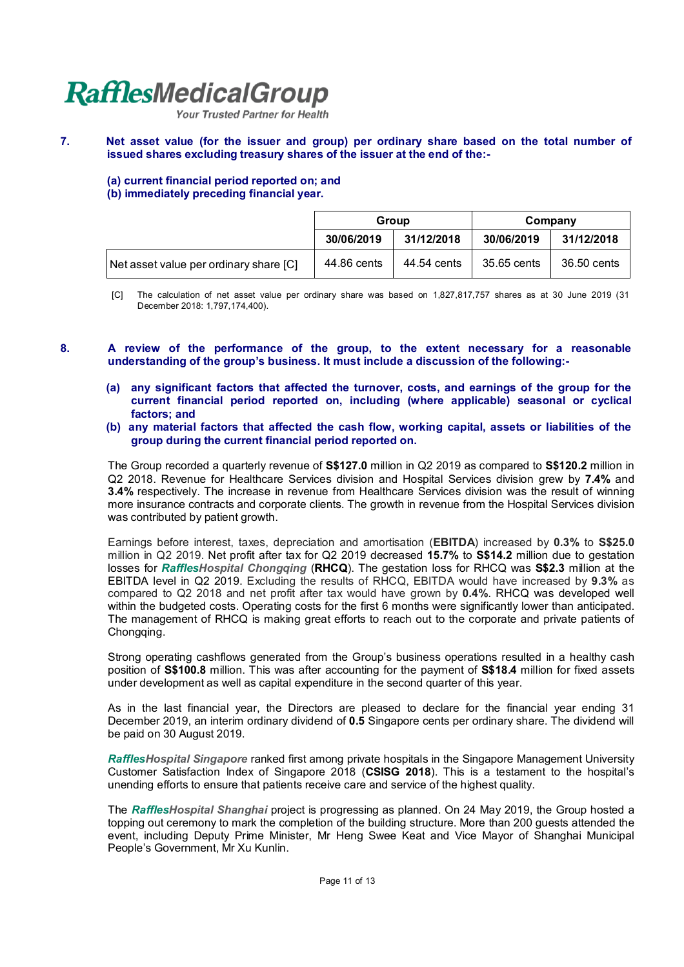Your Trusted Partner for Health

#### **7. Net asset value (for the issuer and group) per ordinary share based on the total number of issued shares excluding treasury shares of the issuer at the end of the:-**

**(a) current financial period reported on; and**

#### **(b) immediately preceding financial year.**

|                                        | Group       |             | Company     |             |
|----------------------------------------|-------------|-------------|-------------|-------------|
|                                        | 30/06/2019  | 31/12/2018  | 30/06/2019  | 31/12/2018  |
| Net asset value per ordinary share [C] | 44.86 cents | 44.54 cents | 35.65 cents | 36.50 cents |

[C] The calculation of net asset value per ordinary share was based on 1,827,817,757 shares as at 30 June 2019 (31 December 2018: 1,797,174,400).

#### **8. A review of the performance of the group, to the extent necessary for a reasonable understanding of the group's business. It must include a discussion of the following:-**

- **(a) any significant factors that affected the turnover, costs, and earnings of the group for the current financial period reported on, including (where applicable) seasonal or cyclical factors; and**
- **(b) any material factors that affected the cash flow, working capital, assets or liabilities of the group during the current financial period reported on.**

The Group recorded a quarterly revenue of **S\$127.0** million in Q2 2019 as compared to **S\$120.2** million in Q2 2018. Revenue for Healthcare Services division and Hospital Services division grew by **7.4%** and **3.4%** respectively. The increase in revenue from Healthcare Services division was the result of winning more insurance contracts and corporate clients. The growth in revenue from the Hospital Services division was contributed by patient growth.

Earnings before interest, taxes, depreciation and amortisation (**EBITDA**) increased by **0.3%** to **S\$25.0** million in Q2 2019. Net profit after tax for Q2 2019 decreased **15.7%** to **S\$14.2** million due to gestation losses for *RafflesHospital Chongqing* (**RHCQ**). The gestation loss for RHCQ was **S\$2.3** million at the EBITDA level in Q2 2019. Excluding the results of RHCQ, EBITDA would have increased by **9.3%** as compared to Q2 2018 and net profit after tax would have grown by **0.4%**. RHCQ was developed well within the budgeted costs. Operating costs for the first 6 months were significantly lower than anticipated. The management of RHCQ is making great efforts to reach out to the corporate and private patients of Chongqing.

Strong operating cashflows generated from the Group's business operations resulted in a healthy cash position of **S\$100.8** million. This was after accounting for the payment of **S\$18.4** million for fixed assets under development as well as capital expenditure in the second quarter of this year.

As in the last financial year, the Directors are pleased to declare for the financial year ending 31 December 2019, an interim ordinary dividend of **0.5** Singapore cents per ordinary share. The dividend will be paid on 30 August 2019.

*RafflesHospital Singapore* ranked first among private hospitals in the Singapore Management University Customer Satisfaction Index of Singapore 2018 (**CSISG 2018**). This is a testament to the hospital's unending efforts to ensure that patients receive care and service of the highest quality.

The *RafflesHospital Shanghai* project is progressing as planned. On 24 May 2019, the Group hosted a topping out ceremony to mark the completion of the building structure. More than 200 guests attended the event, including Deputy Prime Minister, Mr Heng Swee Keat and Vice Mayor of Shanghai Municipal People's Government, Mr Xu Kunlin.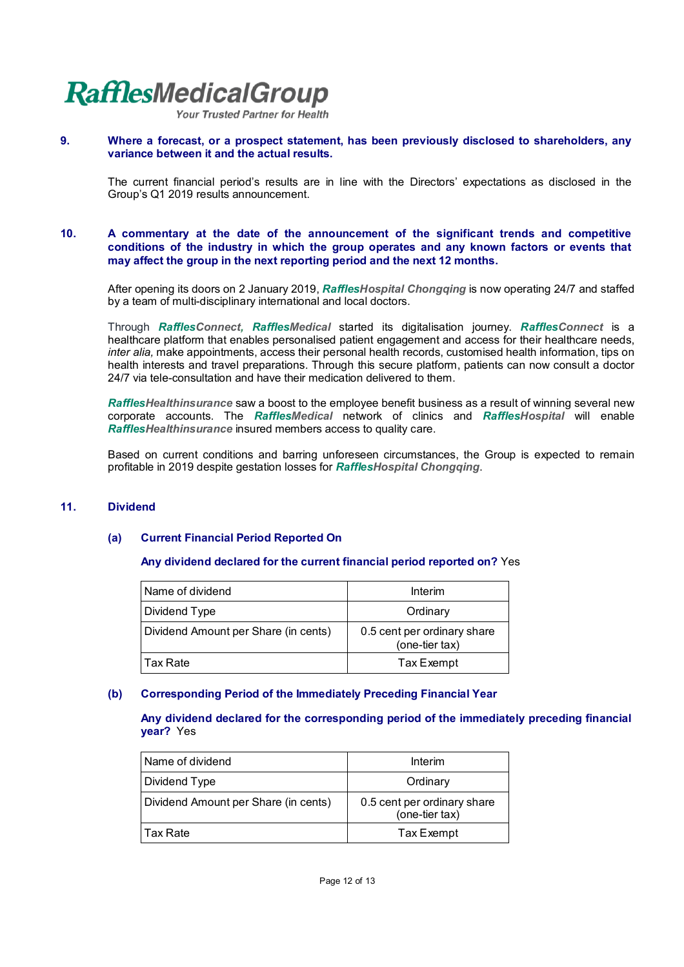Your Trusted Partner for Health

#### **9. Where a forecast, or a prospect statement, has been previously disclosed to shareholders, any variance between it and the actual results.**

The current financial period's results are in line with the Directors' expectations as disclosed in the Group's Q1 2019 results announcement.

#### **10. A commentary at the date of the announcement of the significant trends and competitive conditions of the industry in which the group operates and any known factors or events that may affect the group in the next reporting period and the next 12 months.**

After opening its doors on 2 January 2019, *RafflesHospital Chongqing* is now operating 24/7 and staffed by a team of multi-disciplinary international and local doctors.

Through *RafflesConnect, RafflesMedical* started its digitalisation journey. *RafflesConnect* is a healthcare platform that enables personalised patient engagement and access for their healthcare needs, *inter alia,* make appointments, access their personal health records, customised health information, tips on health interests and travel preparations. Through this secure platform, patients can now consult a doctor 24/7 via tele-consultation and have their medication delivered to them.

*RafflesHealthinsurance* saw a boost to the employee benefit business as a result of winning several new corporate accounts. The *RafflesMedical* network of clinics and *RafflesHospital* will enable *RafflesHealthinsurance* insured members access to quality care.

Based on current conditions and barring unforeseen circumstances, the Group is expected to remain profitable in 2019 despite gestation losses for *RafflesHospital Chongqing*.

#### **11. Dividend**

#### **(a) Current Financial Period Reported On**

#### **Any dividend declared for the current financial period reported on?** Yes

| l Name of dividend                   | Interim                                       |
|--------------------------------------|-----------------------------------------------|
| Dividend Type                        | Ordinary                                      |
| Dividend Amount per Share (in cents) | 0.5 cent per ordinary share<br>(one-tier tax) |
| Tax Rate                             | Tax Exempt                                    |

#### **(b) Corresponding Period of the Immediately Preceding Financial Year**

**Any dividend declared for the corresponding period of the immediately preceding financial year?** Yes

| l Name of dividend                   | Interim                                       |
|--------------------------------------|-----------------------------------------------|
| Dividend Type                        | Ordinary                                      |
| Dividend Amount per Share (in cents) | 0.5 cent per ordinary share<br>(one-tier tax) |
| l Tax Rate                           | Tax Exempt                                    |